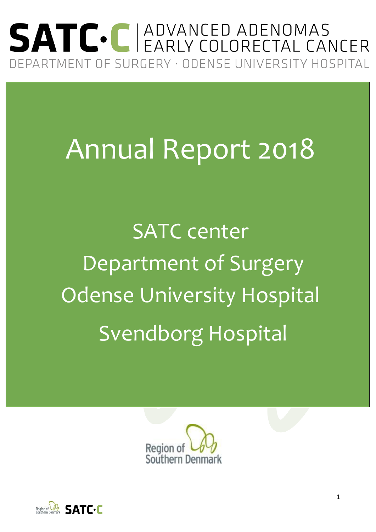## SATC. C ADVANCED ADENOMAS DEPARTMENT OF SURGERY · ODENSE UNIVERSITY HOSPITAL

# Annual Report 2018

SATC center Department of Surgery Odense University Hospital Svendborg Hospital



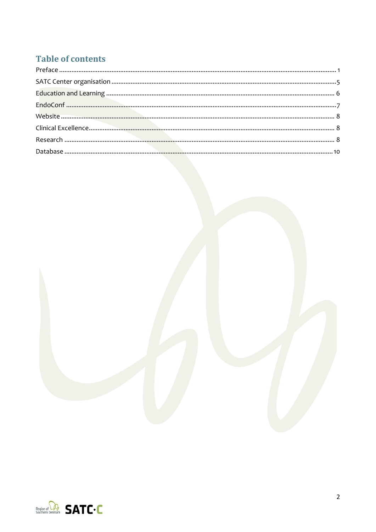#### **Table of contents**



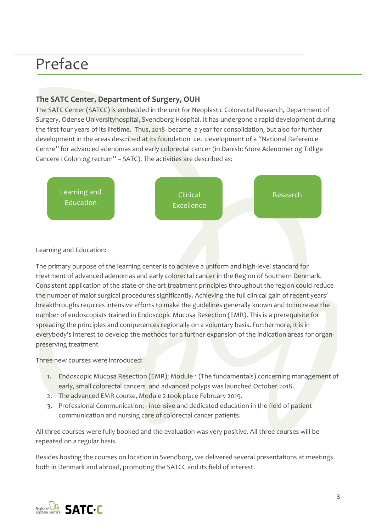### Preface

#### **The SATC Center, Department of Surgery, OUH**

The SATC Center (SATCC) is embedded in the unit for Neoplastic Colorectal Research, Department of Surgery, Odense Universityhospital, Svendborg Hospital. It has undergone a rapid development during the first four years of its lifetime. Thus, 2018 became a year for consolidation, but also for further development in the areas described at its foundation i.e. development of a "National Reference Centre" for advanced adenomas and early colorectal cancer (in Danish: Store Adenomer og Tidlige Cancere i Colon og rectum" – SATC). The activities are described as:



#### Learning and Education:

The primary purpose of the learning center is to achieve a uniform and high-level standard for treatment of advanced adenomas and early colorectal cancer in the Region of Southern Denmark. Consistent application of the state-of-the-art treatment principles throughout the region could reduce the number of major surgical procedures significantly. Achieving the full clinical gain of recent years' breakthroughs requires intensive efforts to make the guidelines generally known and to increase the number of endoscopists trained in Endoscopic Mucosa Resection (EMR). This is a prerequisite for spreading the principles and competences regionally on a voluntary basis. Furthermore, it is in everybody's interest to develop the methods for a further expansion of the indication areas for organpreserving treatment

Three new courses were introduced:

- 1. Endoscopic Mucosa Resection (EMR); Module 1 (The fundamentals) concerning management of early, small colorectal cancers and advanced polyps was launched October 2018.
- 2. The advanced EMR course, Module 2 took place February 2019.
- 3. Professional Communication; intensive and dedicated education in the field of patient communication and nursing care of colorectal cancer patients.

All three courses were fully booked and the evaluation was very positive. All three courses will be repeated on a regular basis.

Besides hosting the courses on location in Svendborg, we delivered several presentations at meetings both in Denmark and abroad, promoting the SATCC and its field of interest.

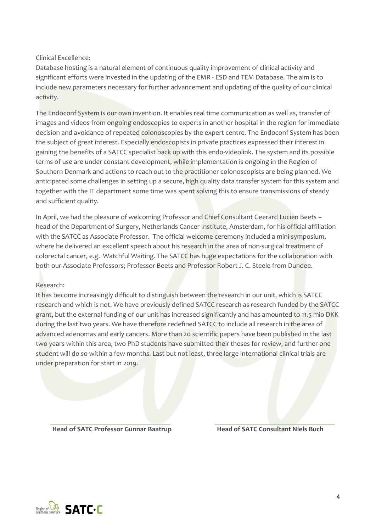Clinical Excellence:

Database hosting is a natural element of continuous quality improvement of clinical activity and significant efforts were invested in the updating of the EMR - ESD and TEM Database. The aim is to include new parameters necessary for further advancement and updating of the quality of our clinical activity.

The Endoconf System is our own invention. It enables real time communication as well as, transfer of images and videos from ongoing endoscopies to experts in another hospital in the region for immediate decision and avoidance of repeated colonoscopies by the expert centre. The Endoconf System has been the subject of great interest. Especially endoscopists in private practices expressed their interest in gaining the benefits of a SATCC specialist back up with this endo-videolink. The system and its possible terms of use are under constant development, while implementation is ongoing in the Region of Southern Denmark and actions to reach out to the practitioner colonoscopists are being planned. We anticipated some challenges in setting up a secure, high quality data transfer system for this system and together with the IT department some time was spent solving this to ensure transmissions of steady and sufficient quality.

In April, we had the pleasure of welcoming Professor and Chief Consultant Geerard Lucien Beets – head of the Department of Surgery, Netherlands Cancer Institute, Amsterdam, for his official affiliation with the SATCC as Associate Professor. The official welcome ceremony included a mini-symposium, where he delivered an excellent speech about his research in the area of non-surgical treatment of colorectal cancer, e.g. Watchful Waiting. The SATCC has huge expectations for the collaboration with both our Associate Professors; Professor Beets and Professor Robert J. C. Steele from Dundee.

#### Research:

It has become increasingly difficult to distinguish between the research in our unit, which is SATCC research and which is not. We have previously defined SATCC research as research funded by the SATCC grant, but the external funding of our unit has increased significantly and has amounted to 11.5 mio DKK during the last two years. We have therefore redefined SATCC to include all research in the area of advanced adenomas and early cancers. More than 20 scientific papers have been published in the last two years within this area, two PhD students have submitted their theses for review, and further one student will do so within a few months. Last but not least, three large international clinical trials are under preparation for start in 2019.

**Head of SATC Professor Gunnar Baatrup Head of SATC Consultant Niels Buch**

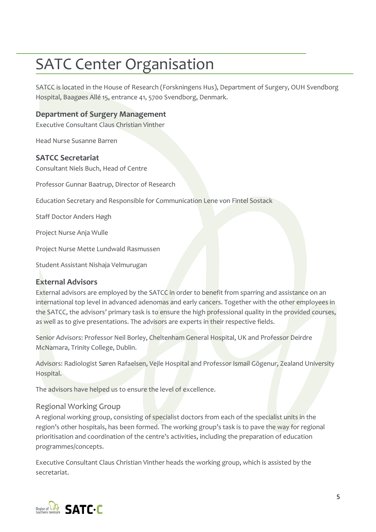### SATC Center Organisation

SATCC is located in the House of Research (Forskningens Hus), Department of Surgery, OUH Svendborg Hospital, Baagøes Allé 15, entrance 41, 5700 Svendborg, Denmark.

#### **Department of Surgery Management**

Executive Consultant Claus Christian Vinther

Head Nurse Susanne Barren

#### **SATCC Secretariat**

Consultant Niels Buch, Head of Centre

Professor Gunnar Baatrup, Director of Research

Education Secretary and Responsible for Communication Lene von Fintel Sostack

Staff Doctor Anders Høgh

Project Nurse Anja Wulle

Project Nurse Mette Lundwald Rasmussen

Student Assistant Nishaja Velmurugan

#### **External Advisors**

External advisors are employed by the SATCC in order to benefit from sparring and assistance on an international top level in advanced adenomas and early cancers. Together with the other employees in the SATCC, the advisors' primary task is to ensure the high professional quality in the provided courses, as well as to give presentations. The advisors are experts in their respective fields.

Senior Advisors: Professor Neil Borley, Cheltenham General Hospital, UK and Professor Deirdre McNamara, Trinity College, Dublin.

Advisors: Radiologist Søren Rafaelsen, Vejle Hospital and Professor Ismail Gögenur, Zealand University Hospital.

The advisors have helped us to ensure the level of excellence.

#### Regional Working Group

A regional working group, consisting of specialist doctors from each of the specialist units in the region's other hospitals, has been formed. The working group's task is to pave the way for regional prioritisation and coordination of the centre's activities, including the preparation of education programmes/concepts.

Executive Consultant Claus Christian Vinther heads the working group, which is assisted by the secretariat.

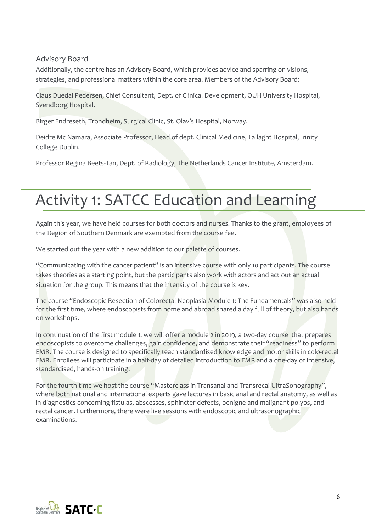#### Advisory Board

Additionally, the centre has an Advisory Board, which provides advice and sparring on visions, strategies, and professional matters within the core area. Members of the Advisory Board:

Claus Duedal Pedersen, Chief Consultant, Dept. of Clinical Development, OUH University Hospital, Svendborg Hospital.

Birger Endreseth, Trondheim, Surgical Clinic, St. Olav's Hospital, Norway.

Deidre Mc Namara, Associate Professor, Head of dept. Clinical Medicine, Tallaght Hospital,Trinity College Dublin.

Professor Regina Beets-Tan, Dept. of Radiology, The Netherlands Cancer Institute, Amsterdam.

### Activity 1: SATCC Education and Learning

Again this year, we have held courses for both doctors and nurses. Thanks to the grant, employees of the Region of Southern Denmark are exempted from the course fee.

We started out the year with a new addition to our palette of courses.

"Communicating with the cancer patient" is an intensive course with only 10 participants. The course takes theories as a starting point, but the participants also work with actors and act out an actual situation for the group. This means that the intensity of the course is key.

The course "Endoscopic Resection of Colorectal Neoplasia-Module 1: The Fundamentals" was also held for the first time, where endoscopists from home and abroad shared a day full of theory, but also hands on workshops.

In continuation of the first module 1, we will offer a module 2 in 2019, a two-day course that prepares endoscopists to overcome challenges, gain confidence, and demonstrate their "readiness" to perform EMR. The course is designed to specifically teach standardised knowledge and motor skills in colo-rectal EMR. Enrollees will participate in a half-day of detailed introduction to EMR and a one-day of intensive, standardised, hands-on training.

For the fourth time we host the course "Masterclass in Transanal and Transrecal UltraSonography", where both national and international experts gave lectures in basic anal and rectal anatomy, as well as in diagnostics concerning fistulas, abscesses, sphincter defects, benigne and malignant polyps, and rectal cancer. Furthermore, there were live sessions with endoscopic and ultrasonographic examinations.

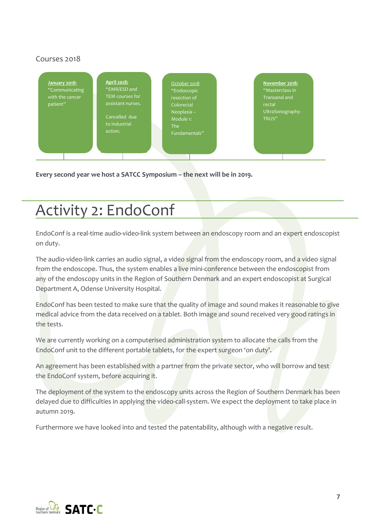#### Courses 2018



**Every second year we host a SATCC Symposium – the next will be in 2019.**

### Activity 2: EndoConf

EndoConf is a real-time audio-video-link system between an endoscopy room and an expert endoscopist on duty.

The audio-video-link carries an audio signal, a video signal from the endoscopy room, and a video signal from the endoscope. Thus, the system enables a live mini-conference between the endoscopist from any of the endoscopy units in the Region of Southern Denmark and an expert endoscopist at Surgical Department A, Odense University Hospital.

EndoConf has been tested to make sure that the quality of image and sound makes it reasonable to give medical advice from the data received on a tablet. Both image and sound received very good ratings in the tests.

We are currently working on a computerised administration system to allocate the calls from the EndoConf unit to the different portable tablets, for the expert surgeon 'on duty'.

An agreement has been established with a partner from the private sector, who will borrow and test the EndoConf system, before acquiring it.

The deployment of the system to the endoscopy units across the Region of Southern Denmark has been delayed due to difficulties in applying the video-call-system. We expect the deployment to take place in autumn 2019.

Furthermore we have looked into and tested the patentability, although with a negative result.

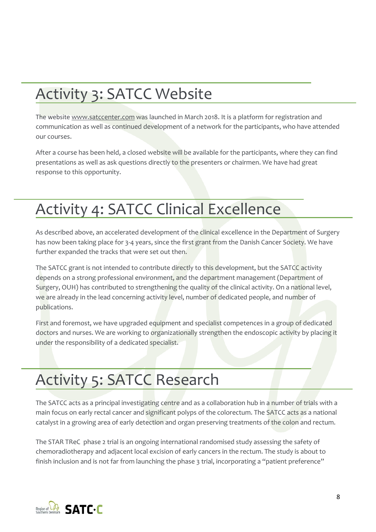### Activity 3: SATCC Website

The website [www.satccenter.com](http://www.satccenter.com/) was launched in March 2018. It is a platform for registration and communication as well as continued development of a network for the participants, who have attended our courses.

After a course has been held, a closed website will be available for the participants, where they can find presentations as well as ask questions directly to the presenters or chairmen. We have had great response to this opportunity.

### Activity 4: SATCC Clinical Excellence

As described above, an accelerated development of the clinical excellence in the Department of Surgery has now been taking place for 3-4 years, since the first grant from the Danish Cancer Society. We have further expanded the tracks that were set out then.

The SATCC grant is not intended to contribute directly to this development, but the SATCC activity depends on a strong professional environment, and the department management (Department of Surgery, OUH) has contributed to strengthening the quality of the clinical activity. On a national level, we are already in the lead concerning activity level, number of dedicated people, and number of publications.

First and foremost, we have upgraded equipment and specialist competences in a group of dedicated doctors and nurses. We are working to organizationally strengthen the endoscopic activity by placing it under the responsibility of a dedicated specialist.

### Activity 5: SATCC Research

The SATCC acts as a principal investigating centre and as a collaboration hub in a number of trials with a main focus on early rectal cancer and significant polyps of the colorectum. The SATCC acts as a national catalyst in a growing area of early detection and organ preserving treatments of the colon and rectum.

The STAR TReC phase 2 trial is an ongoing international randomised study assessing the safety of chemoradiotherapy and adjacent local excision of early cancers in the rectum. The study is about to finish inclusion and is not far from launching the phase 3 trial, incorporating a "patient preference"

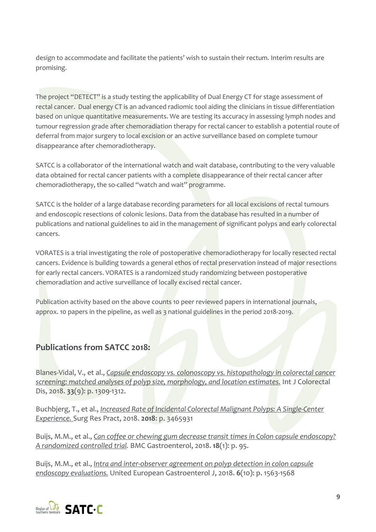design to accommodate and facilitate the patients' wish to sustain their rectum. Interim results are promising.

The project "DETECT" is a study testing the applicability of Dual Energy CT for stage assessment of rectal cancer. Dual energy CT is an advanced radiomic tool aiding the clinicians in tissue differentiation based on unique quantitative measurements. We are testing its accuracy in assessing lymph nodes and tumour regression grade after chemoradiation therapy for rectal cancer to establish a potential route of deferral from major surgery to local excision or an active surveillance based on complete tumour disappearance after chemoradiotherapy.

SATCC is a collaborator of the international watch and wait database, contributing to the very valuable data obtained for rectal cancer patients with a complete disappearance of their rectal cancer after chemoradiotherapy, the so-called "watch and wait" programme.

SATCC is the holder of a large database recording parameters for all local excisions of rectal tumours and endoscopic resections of colonic lesions. Data from the database has resulted in a number of publications and national guidelines to aid in the management of significant polyps and early colorectal cancers.

VORATES is a trial investigating the role of postoperative chemoradiotherapy for locally resected rectal cancers. Evidence is building towards a general ethos of rectal preservation instead of major resections for early rectal cancers. VORATES is a randomized study randomizing between postoperative chemoradiation and active surveillance of locally excised rectal cancer.

Publication activity based on the above counts 10 peer reviewed papers in international journals, approx. 10 papers in the pipeline, as well as 3 national guidelines in the period 2018-2019.

#### **Publications from SATCC 2018:**

Blanes-Vidal, V., et al., *[Capsule endoscopy vs. colonoscopy vs. histopathology in colorectal cancer](https://www.ncbi.nlm.nih.gov/pubmed/?term=Addressing+priority+challenges+in+the+detection+and+assessment+of+colorectal+polyps+from+capsule+endoscopy+and+colonoscopy+in+colorectal+cancer+screening+using+machine+learning)  [screening: matched analyses of polyp size, morphology, and location estimates.](https://www.ncbi.nlm.nih.gov/pubmed/?term=Addressing+priority+challenges+in+the+detection+and+assessment+of+colorectal+polyps+from+capsule+endoscopy+and+colonoscopy+in+colorectal+cancer+screening+using+machine+learning)* Int J Colorectal Dis, 2018. **33**(9): p. 1309-1312.

Buchbjerg, T., et al., *[Increased Rate of Incidental Colorectal Malignant Polyps: A Single-Center](https://www.ncbi.nlm.nih.gov/pubmed/?term=Increased+Rate+of+Incidental+Colorectal+Malignant+Polyps%3A+A+Single-Center+Experience.)  [Experience.](https://www.ncbi.nlm.nih.gov/pubmed/?term=Increased+Rate+of+Incidental+Colorectal+Malignant+Polyps%3A+A+Single-Center+Experience.)* Surg Res Pract, 2018. **2018**: p. 3465931

Buijs, M.M., et al., *[Can coffee or chewing gum decrease transit times in Colon capsule endoscopy?](https://www.ncbi.nlm.nih.gov/pubmed/29940864)  [A randomized controlled trial.](https://www.ncbi.nlm.nih.gov/pubmed/29940864)* BMC Gastroenterol, 2018. **18**(1): p. 95.

Buijs, M.M., et al., *[Intra and inter-observer agreement on polyp detection in colon capsule](https://www.ncbi.nlm.nih.gov/pubmed/?term=Intra+and+inter-observer+agreement+on+polyp+detection+in+colon+capsule+endoscopy+evaluations.)  [endoscopy evaluations.](https://www.ncbi.nlm.nih.gov/pubmed/?term=Intra+and+inter-observer+agreement+on+polyp+detection+in+colon+capsule+endoscopy+evaluations.)* United European Gastroenterol J, 2018. **6**(10): p. 1563-1568